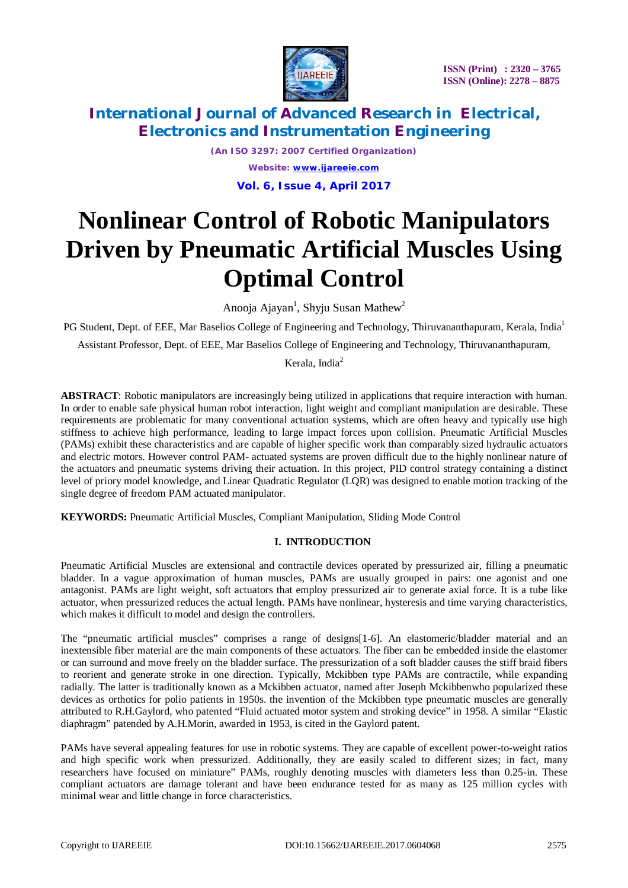

*(An ISO 3297: 2007 Certified Organization) Website: [www.ijareeie.com](http://www.ijareeie.com)* **Vol. 6, Issue 4, April 2017**

# **Nonlinear Control of Robotic Manipulators Driven by Pneumatic Artificial Muscles Using Optimal Control**

Anooja Ajayan<sup>1</sup>, Shyju Susan Mathew<sup>2</sup>

PG Student, Dept. of EEE, Mar Baselios College of Engineering and Technology, Thiruvananthapuram, Kerala, India<sup>1</sup>

Assistant Professor, Dept. of EEE, Mar Baselios College of Engineering and Technology, Thiruvananthapuram,

Kerala, India<sup>2</sup>

**ABSTRACT**: Robotic manipulators are increasingly being utilized in applications that require interaction with human. In order to enable safe physical human robot interaction, light weight and compliant manipulation are desirable. These requirements are problematic for many conventional actuation systems, which are often heavy and typically use high stiffness to achieve high performance, leading to large impact forces upon collision. Pneumatic Artificial Muscles (PAMs) exhibit these characteristics and are capable of higher specific work than comparably sized hydraulic actuators and electric motors. However control PAM- actuated systems are proven difficult due to the highly nonlinear nature of the actuators and pneumatic systems driving their actuation. In this project, PID control strategy containing a distinct level of priory model knowledge, and Linear Quadratic Regulator (LQR) was designed to enable motion tracking of the single degree of freedom PAM actuated manipulator.

**KEYWORDS:** Pneumatic Artificial Muscles, Compliant Manipulation, Sliding Mode Control

## **I. INTRODUCTION**

Pneumatic Artificial Muscles are extensional and contractile devices operated by pressurized air, filling a pneumatic bladder. In a vague approximation of human muscles, PAMs are usually grouped in pairs: one agonist and one antagonist. PAMs are light weight, soft actuators that employ pressurized air to generate axial force. It is a tube like actuator, when pressurized reduces the actual length. PAMs have nonlinear, hysteresis and time varying characteristics, which makes it difficult to model and design the controllers.

The "pneumatic artificial muscles" comprises a range of designs[1-6]. An elastomeric/bladder material and an inextensible fiber material are the main components of these actuators. The fiber can be embedded inside the elastomer or can surround and move freely on the bladder surface. The pressurization of a soft bladder causes the stiff braid fibers to reorient and generate stroke in one direction. Typically, Mckibben type PAMs are contractile, while expanding radially. The latter is traditionally known as a Mckibben actuator, named after Joseph Mckibbenwho popularized these devices as orthotics for polio patients in 1950s. the invention of the Mckibben type pneumatic muscles are generally attributed to R.H.Gaylord, who patented "Fluid actuated motor system and stroking device" in 1958. A similar "Elastic diaphragm" patended by A.H.Morin, awarded in 1953, is cited in the Gaylord patent.

PAMs have several appealing features for use in robotic systems. They are capable of excellent power-to-weight ratios and high specific work when pressurized. Additionally, they are easily scaled to different sizes; in fact, many researchers have focused on miniature" PAMs, roughly denoting muscles with diameters less than 0.25-in. These compliant actuators are damage tolerant and have been endurance tested for as many as 125 million cycles with minimal wear and little change in force characteristics.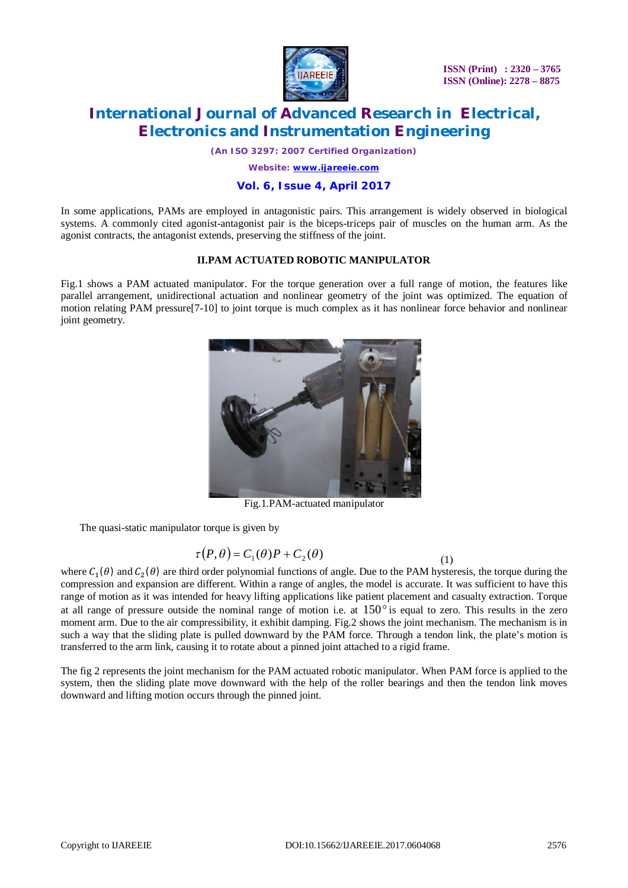

*(An ISO 3297: 2007 Certified Organization)*

*Website: [www.ijareeie.com](http://www.ijareeie.com)*

## **Vol. 6, Issue 4, April 2017**

In some applications, PAMs are employed in antagonistic pairs. This arrangement is widely observed in biological systems. A commonly cited agonist-antagonist pair is the biceps-triceps pair of muscles on the human arm. As the agonist contracts, the antagonist extends, preserving the stiffness of the joint.

## **II.PAM ACTUATED ROBOTIC MANIPULATOR**

Fig.1 shows a PAM actuated manipulator. For the torque generation over a full range of motion, the features like parallel arrangement, unidirectional actuation and nonlinear geometry of the joint was optimized. The equation of motion relating PAM pressure[7-10] to joint torque is much complex as it has nonlinear force behavior and nonlinear joint geometry.



Fig.1.PAM-actuated manipulator

The quasi-static manipulator torque is given by

$$
\tau(P,\theta) = C_1(\theta)P + C_2(\theta) \tag{1}
$$

where  $C_1(\theta)$  and  $C_2(\theta)$  are third order polynomial functions of angle. Due to the PAM hysteresis, the torque during the compression and expansion are different. Within a range of angles, the model is accurate. It was sufficient to have this range of motion as it was intended for heavy lifting applications like patient placement and casualty extraction. Torque at all range of pressure outside the nominal range of motion i.e. at  $150^\circ$  is equal to zero. This results in the zero moment arm. Due to the air compressibility, it exhibit damping. Fig.2 shows the joint mechanism. The mechanism is in such a way that the sliding plate is pulled downward by the PAM force. Through a tendon link, the plate's motion is transferred to the arm link, causing it to rotate about a pinned joint attached to a rigid frame.

The fig 2 represents the joint mechanism for the PAM actuated robotic manipulator. When PAM force is applied to the system, then the sliding plate move downward with the help of the roller bearings and then the tendon link moves downward and lifting motion occurs through the pinned joint.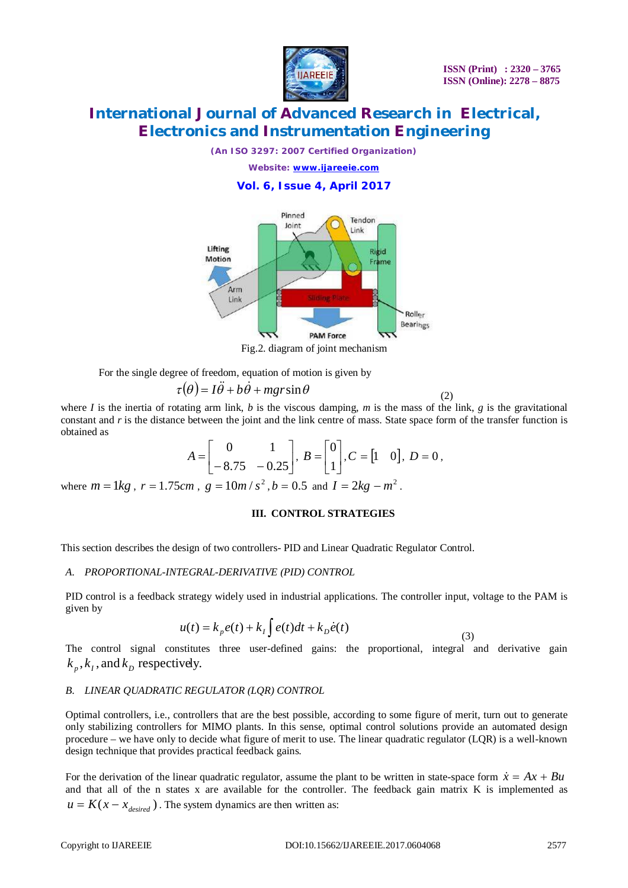

(2)

# **International Journal of Advanced Research in Electrical, Electronics and Instrumentation Engineering**

*(An ISO 3297: 2007 Certified Organization)*

*Website: [www.ijareeie.com](http://www.ijareeie.com)*

**Vol. 6, Issue 4, April 2017**



Fig.2. diagram of joint mechanism

For the single degree of freedom, equation of motion is given by

$$
\tau(\theta) = I\ddot{\theta} + b\dot{\theta} + mgr\sin\theta
$$

where *I* is the inertia of rotating arm link, *b* is the viscous damping, *m* is the mass of the link, *g* is the gravitational constant and r is the distance between the joint and the link centre of mass. State space form of the transfer function is obtained as

$$
A = \begin{bmatrix} 0 & 1 \\ -8.75 & -0.25 \end{bmatrix}, B = \begin{bmatrix} 0 \\ 1 \end{bmatrix}, C = \begin{bmatrix} 1 & 0 \end{bmatrix}, D = 0,
$$

where  $m = 1kg$ ,  $r = 1.75cm$ ,  $g = 10m/s^2$ ,  $b = 0.5$  and  $I = 2kg - m^2$ .

### **III. CONTROL STRATEGIES**

This section describes the design of two controllers- PID and Linear Quadratic Regulator Control.

## *A. PROPORTIONAL-INTEGRAL-DERIVATIVE (PID) CONTROL*

PID control is a feedback strategy widely used in industrial applications. The controller input, voltage to the PAM is given by

$$
u(t) = k_p e(t) + k_I \int e(t)dt + k_p \dot{e}(t)
$$
\n(3)

The control signal constitutes three user-defined gains: the proportional, integral and derivative gain  $k_p$ ,  $k_l$ , and  $k_p$  respectively.

## *B. LINEAR QUADRATIC REGULATOR (LQR) CONTROL*

Optimal controllers, i.e., controllers that are the best possible, according to some figure of merit, turn out to generate only stabilizing controllers for MIMO plants. In this sense, optimal control solutions provide an automated design procedure – we have only to decide what figure of merit to use. The linear quadratic regulator (LQR) is a well-known design technique that provides practical feedback gains.

For the derivation of the linear quadratic regulator, assume the plant to be written in state-space form  $\dot{x} = Ax + Bu$ and that all of the n states x are available for the controller. The feedback gain matrix K is implemented as  $u = K(x - x_{desired})$ . The system dynamics are then written as: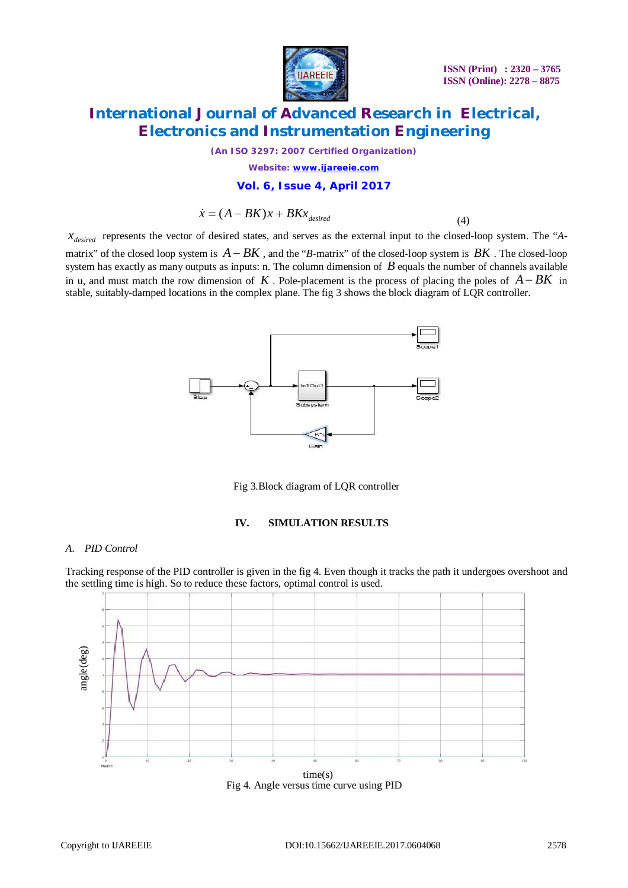

*(An ISO 3297: 2007 Certified Organization)*

*Website: [www.ijareeie.com](http://www.ijareeie.com)*

#### **Vol. 6, Issue 4, April 2017**

$$
\dot{x} = (A - BK)x + BKx_{desired}
$$
\n(4)

*desired x* represents the vector of desired states, and serves as the external input to the closed-loop system. The "*A*matrix" of the closed loop system is  $A - BK$ , and the "*B*-matrix" of the closed-loop system is  $BK$ . The closed-loop system has exactly as many outputs as inputs: n. The column dimension of *B* equals the number of channels available in u, and must match the row dimension of  $K$ . Pole-placement is the process of placing the poles of  $A - BK$  in stable, suitably-damped locations in the complex plane. The fig 3 shows the block diagram of LQR controller.



Fig 3.Block diagram of LQR controller

#### **IV. SIMULATION RESULTS**

#### *A. PID Control*

Tracking response of the PID controller is given in the fig 4. Even though it tracks the path it undergoes overshoot and the settling time is high. So to reduce these factors, optimal control is used.



Fig 4. Angle versus time curve using PID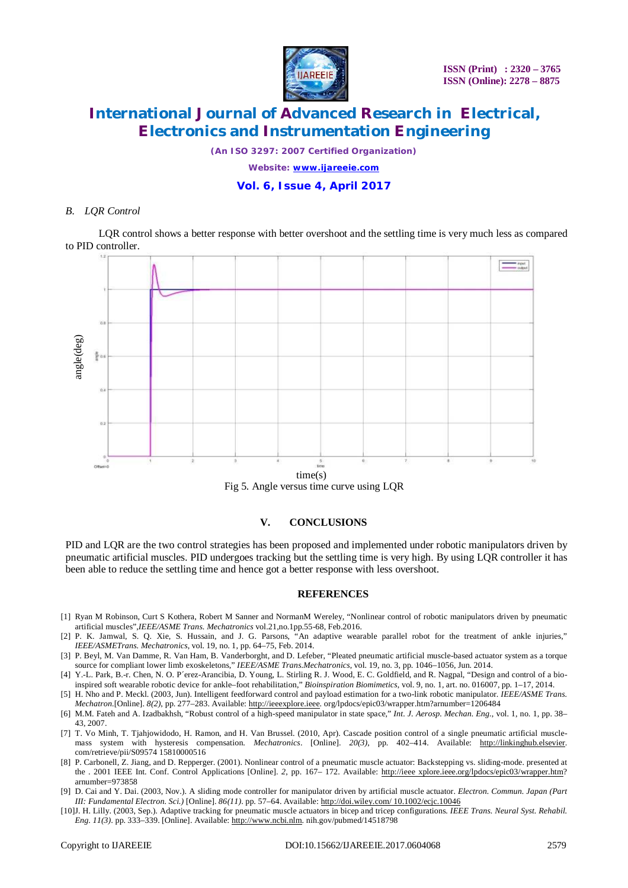

*(An ISO 3297: 2007 Certified Organization)*

*Website: [www.ijareeie.com](http://www.ijareeie.com)*

### **Vol. 6, Issue 4, April 2017**

#### *B. LQR Control*

LQR control shows a better response with better overshoot and the settling time is very much less as compared to PID controller.



Fig 5. Angle versus time curve using LQR

#### **V. CONCLUSIONS**

PID and LQR are the two control strategies has been proposed and implemented under robotic manipulators driven by pneumatic artificial muscles. PID undergoes tracking but the settling time is very high. By using LQR controller it has been able to reduce the settling time and hence got a better response with less overshoot.

#### **REFERENCES**

- [1] Ryan M Robinson, Curt S Kothera, Robert M Sanner and NormanM Wereley, "Nonlinear control of robotic manipulators driven by pneumatic artificial muscles",*IEEE/ASME Trans. Mechatronics* vol.21,no.1pp.55-68, Feb.2016.
- [2] P. K. Jamwal, S. Q. Xie, S. Hussain, and J. G. Parsons, "An adaptive wearable parallel robot for the treatment of ankle injuries," *IEEE/ASMETrans. Mechatronics*, vol. 19, no. 1, pp. 64–75, Feb. 2014.
- [3] P. Beyl, M. Van Damme, R. Van Ham, B. Vanderborght, and D. Lefeber, "Pleated pneumatic artificial muscle-based actuator system as a torque source for compliant lower limb exoskeletons," *IEEE/ASME Trans.Mechatronics*, vol. 19, no. 3, pp. 1046–1056, Jun. 2014.
- [4] Y.-L. Park, B.-r. Chen, N. O. P´erez-Arancibia, D. Young, L. Stirling R. J. Wood, E. C. Goldfield, and R. Nagpal, "Design and control of a bioinspired soft wearable robotic device for ankle–foot rehabilitation," *Bioinspiration Biomimetics*, vol. 9, no. 1, art. no. 016007, pp. 1–17, 2014.
- [5] H. Nho and P. Meckl. (2003, Jun). Intelligent feedforward control and payload estimation for a two-link robotic manipulator. *IEEE/ASME Trans. Mechatron.*[Online]. *8(2)*, pp. 277–283. Available: <http://ieeexplore.ieee.> org/lpdocs/epic03/wrapper.htm?arnumber=1206484
- [6] M.M. Fateh and A. Izadbakhsh, "Robust control of a high-speed manipulator in state space," *Int. J. Aerosp. Mechan. Eng.*, vol. 1, no. 1, pp. 38– 43, 2007.
- [7] T. Vo Minh, T. Tjahjowidodo, H. Ramon, and H. Van Brussel. (2010, Apr). Cascade position control of a single pneumatic artificial musclemass system with hysteresis compensation. *Mechatronics*. [Online]. *20(3)*, pp. 402–414. Available: <http://linkinghub.elsevier.> com/retrieve/pii/S09574 15810000516
- [8] P. Carbonell, Z. Jiang, and D. Repperger. (2001). Nonlinear control of a pneumatic muscle actuator: Backstepping vs. sliding-mode. presented at the . 2001 IEEE Int. Conf. Control Applications [Online]. 2, pp. 167– 172. Available: <http://ieee>xplore.ieee.org/lpdocs/epic03/wrapper.htm? arnumber=973858
- [9] D. Cai and Y. Dai. (2003, Nov.). A sliding mode controller for manipulator driven by artificial muscle actuator. *Electron. Commun. Japan (Part III: Fundamental Electron. Sci.)* [Online]. *86(11)*. pp. 57–64. Available: <http://doi.wiley.com/> 10.1002/ecjc.10046
- [10]J. H. Lilly. (2003, Sep.). Adaptive tracking for pneumatic muscle actuators in bicep and tricep configurations. *IEEE Trans. Neural Syst. Rehabil.*